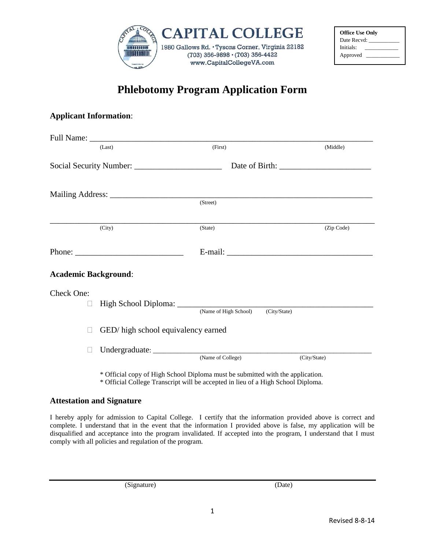

| <b>Office Use Only</b> |  |
|------------------------|--|
| Date Recvd:            |  |
| Initials:              |  |
| Approved               |  |

## **Phlebotomy Program Application Form**

## **Applicant Information**:

|                             | (Last)                              | (First)                                                                       | (Middle)     |
|-----------------------------|-------------------------------------|-------------------------------------------------------------------------------|--------------|
|                             |                                     |                                                                               |              |
|                             |                                     |                                                                               |              |
|                             |                                     | (Street)                                                                      |              |
|                             | (City)                              | (State)                                                                       | (Zip Code)   |
|                             |                                     |                                                                               |              |
| <b>Academic Background:</b> |                                     |                                                                               |              |
| Check One:<br>$\mathbf{L}$  |                                     |                                                                               |              |
| $\mathbf{L}$                | GED/ high school equivalency earned | $\overline{(City/State)}$<br>(Name of High School)                            |              |
|                             |                                     | (Name of College)                                                             | (City/State) |
|                             |                                     | * Official conv of Uich Rahael Diploma must be submitted with the configation |              |

\* Official copy of High School Diploma must be submitted with the application. \* Official College Transcript will be accepted in lieu of a High School Diploma.

## **Attestation and Signature**

I hereby apply for admission to Capital College. I certify that the information provided above is correct and complete. I understand that in the event that the information I provided above is false, my application will be disqualified and acceptance into the program invalidated. If accepted into the program, I understand that I must comply with all policies and regulation of the program.

(Signature) (Date)